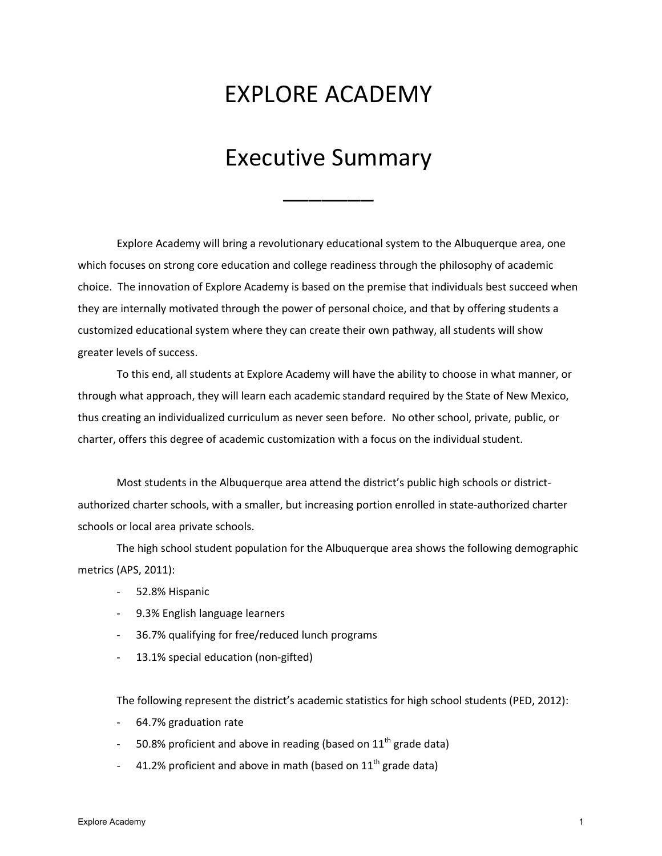## EXPLORE ACADEMY

## Executive Summary

 $\overline{\phantom{a}}$ 

Explore Academy will bring a revolutionary educational system to the Albuquerque area, one which focuses on strong core education and college readiness through the philosophy of academic choice. The innovation of Explore Academy is based on the premise that individuals best succeed when they are internally motivated through the power of personal choice, and that by offering students a customized educational system where they can create their own pathway, all students will show greater levels of success.

To this end, all students at Explore Academy will have the ability to choose in what manner, or through what approach, they will learn each academic standard required by the State of New Mexico, thus creating an individualized curriculum as never seen before. No other school, private, public, or charter, offers this degree of academic customization with a focus on the individual student.

Most students in the Albuquerque area attend the district's public high schools or districtauthorized charter schools, with a smaller, but increasing portion enrolled in state-authorized charter schools or local area private schools.

The high school student population for the Albuquerque area shows the following demographic metrics (APS, 2011):

- 52.8% Hispanic
- 9.3% English language learners
- 36.7% qualifying for free/reduced lunch programs
- 13.1% special education (non-gifted)

The following represent the district's academic statistics for high school students (PED, 2012):

- 64.7% graduation rate
- 50.8% proficient and above in reading (based on  $11<sup>th</sup>$  grade data)
- 41.2% proficient and above in math (based on  $11^{th}$  grade data)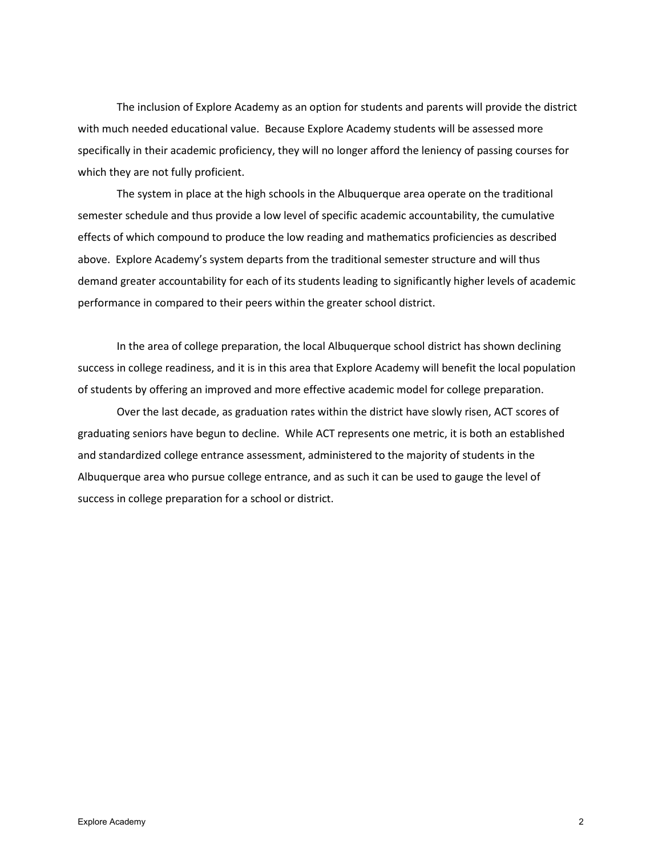The inclusion of Explore Academy as an option for students and parents will provide the district with much needed educational value. Because Explore Academy students will be assessed more specifically in their academic proficiency, they will no longer afford the leniency of passing courses for which they are not fully proficient.

The system in place at the high schools in the Albuquerque area operate on the traditional semester schedule and thus provide a low level of specific academic accountability, the cumulative effects of which compound to produce the low reading and mathematics proficiencies as described above. Explore Academy's system departs from the traditional semester structure and will thus demand greater accountability for each of its students leading to significantly higher levels of academic performance in compared to their peers within the greater school district.

In the area of college preparation, the local Albuquerque school district has shown declining success in college readiness, and it is in this area that Explore Academy will benefit the local population of students by offering an improved and more effective academic model for college preparation.

Over the last decade, as graduation rates within the district have slowly risen, ACT scores of graduating seniors have begun to decline. While ACT represents one metric, it is both an established and standardized college entrance assessment, administered to the majority of students in the Albuquerque area who pursue college entrance, and as such it can be used to gauge the level of success in college preparation for a school or district.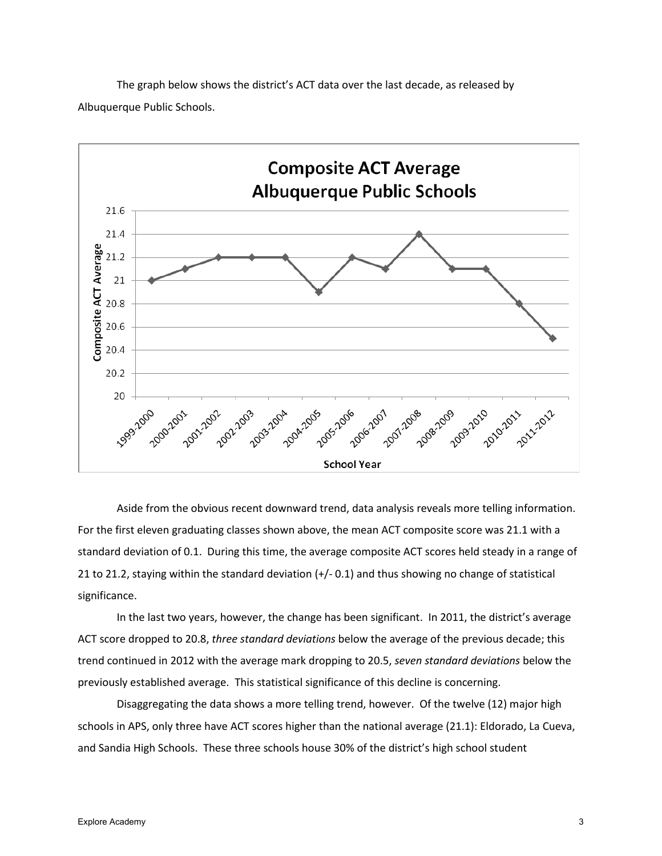



Aside from the obvious recent downward trend, data analysis reveals more telling information. For the first eleven graduating classes shown above, the mean ACT composite score was 21.1 with a standard deviation of 0.1. During this time, the average composite ACT scores held steady in a range of 21 to 21.2, staying within the standard deviation (+/- 0.1) and thus showing no change of statistical significance.

In the last two years, however, the change has been significant. In 2011, the district's average ACT score dropped to 20.8, *three standard deviations* below the average of the previous decade; this trend continued in 2012 with the average mark dropping to 20.5, *seven standard deviations* below the previously established average. This statistical significance of this decline is concerning.

Disaggregating the data shows a more telling trend, however. Of the twelve (12) major high schools in APS, only three have ACT scores higher than the national average (21.1): Eldorado, La Cueva, and Sandia High Schools. These three schools house 30% of the district's high school student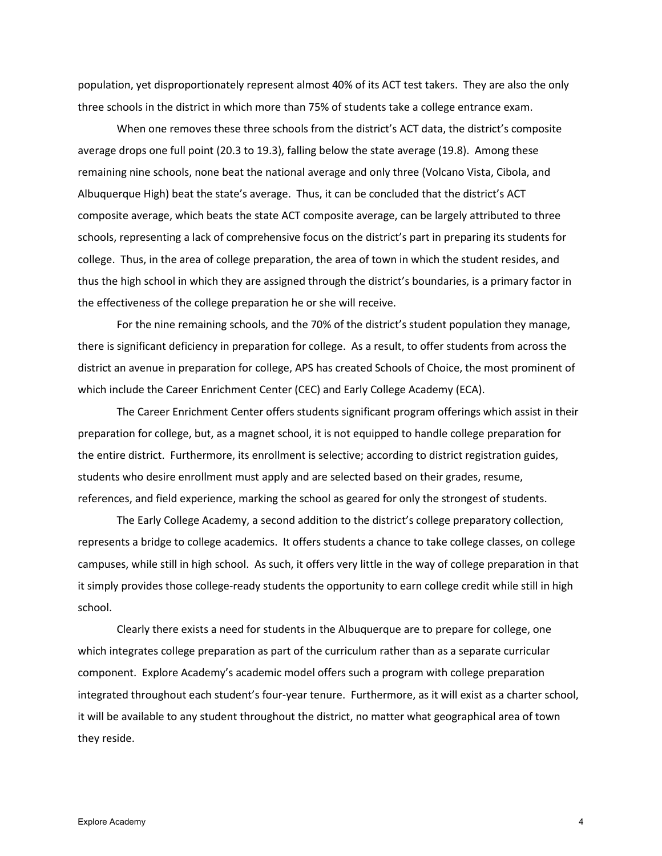population, yet disproportionately represent almost 40% of its ACT test takers. They are also the only three schools in the district in which more than 75% of students take a college entrance exam.

When one removes these three schools from the district's ACT data, the district's composite average drops one full point (20.3 to 19.3), falling below the state average (19.8). Among these remaining nine schools, none beat the national average and only three (Volcano Vista, Cibola, and Albuquerque High) beat the state's average. Thus, it can be concluded that the district's ACT composite average, which beats the state ACT composite average, can be largely attributed to three schools, representing a lack of comprehensive focus on the district's part in preparing its students for college. Thus, in the area of college preparation, the area of town in which the student resides, and thus the high school in which they are assigned through the district's boundaries, is a primary factor in the effectiveness of the college preparation he or she will receive.

For the nine remaining schools, and the 70% of the district's student population they manage, there is significant deficiency in preparation for college. As a result, to offer students from across the district an avenue in preparation for college, APS has created Schools of Choice, the most prominent of which include the Career Enrichment Center (CEC) and Early College Academy (ECA).

The Career Enrichment Center offers students significant program offerings which assist in their preparation for college, but, as a magnet school, it is not equipped to handle college preparation for the entire district. Furthermore, its enrollment is selective; according to district registration guides, students who desire enrollment must apply and are selected based on their grades, resume, references, and field experience, marking the school as geared for only the strongest of students.

The Early College Academy, a second addition to the district's college preparatory collection, represents a bridge to college academics. It offers students a chance to take college classes, on college campuses, while still in high school. As such, it offers very little in the way of college preparation in that it simply provides those college-ready students the opportunity to earn college credit while still in high school.

Clearly there exists a need for students in the Albuquerque are to prepare for college, one which integrates college preparation as part of the curriculum rather than as a separate curricular component. Explore Academy's academic model offers such a program with college preparation integrated throughout each student's four-year tenure. Furthermore, as it will exist as a charter school, it will be available to any student throughout the district, no matter what geographical area of town they reside.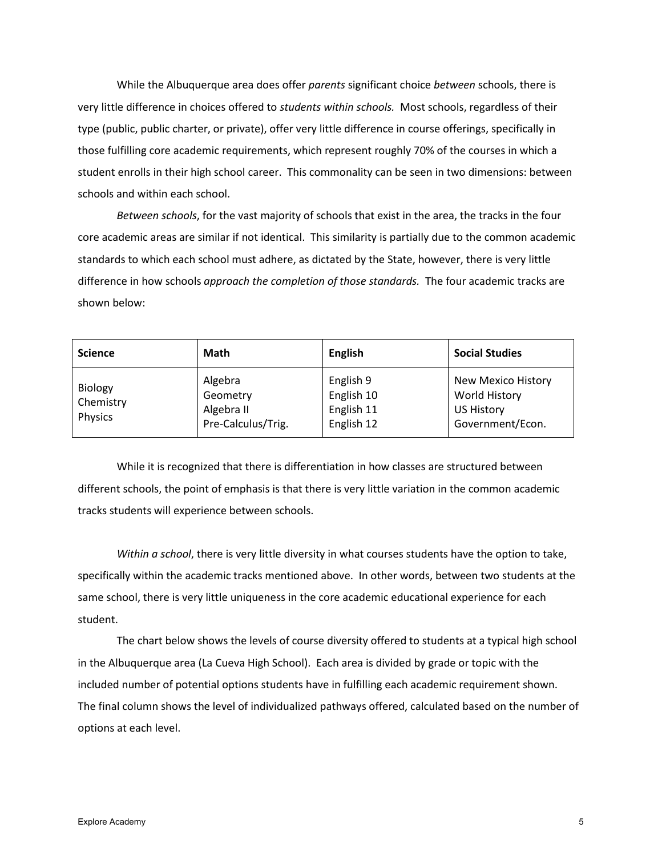While the Albuquerque area does offer *parents* significant choice *between* schools, there is very little difference in choices offered to *students within schools.* Most schools, regardless of their type (public, public charter, or private), offer very little difference in course offerings, specifically in those fulfilling core academic requirements, which represent roughly 70% of the courses in which a student enrolls in their high school career. This commonality can be seen in two dimensions: between schools and within each school.

*Between schools*, for the vast majority of schools that exist in the area, the tracks in the four core academic areas are similar if not identical. This similarity is partially due to the common academic standards to which each school must adhere, as dictated by the State, however, there is very little difference in how schools *approach the completion of those standards.* The four academic tracks are shown below:

| <b>Science</b>                  | <b>Math</b>                                             | <b>English</b>                                      | <b>Social Studies</b>                                                               |
|---------------------------------|---------------------------------------------------------|-----------------------------------------------------|-------------------------------------------------------------------------------------|
| Biology<br>Chemistry<br>Physics | Algebra<br>Geometry<br>Algebra II<br>Pre-Calculus/Trig. | English 9<br>English 10<br>English 11<br>English 12 | New Mexico History<br><b>World History</b><br><b>US History</b><br>Government/Econ. |

While it is recognized that there is differentiation in how classes are structured between different schools, the point of emphasis is that there is very little variation in the common academic tracks students will experience between schools.

*Within a school*, there is very little diversity in what courses students have the option to take, specifically within the academic tracks mentioned above. In other words, between two students at the same school, there is very little uniqueness in the core academic educational experience for each student.

The chart below shows the levels of course diversity offered to students at a typical high school in the Albuquerque area (La Cueva High School). Each area is divided by grade or topic with the included number of potential options students have in fulfilling each academic requirement shown. The final column shows the level of individualized pathways offered, calculated based on the number of options at each level.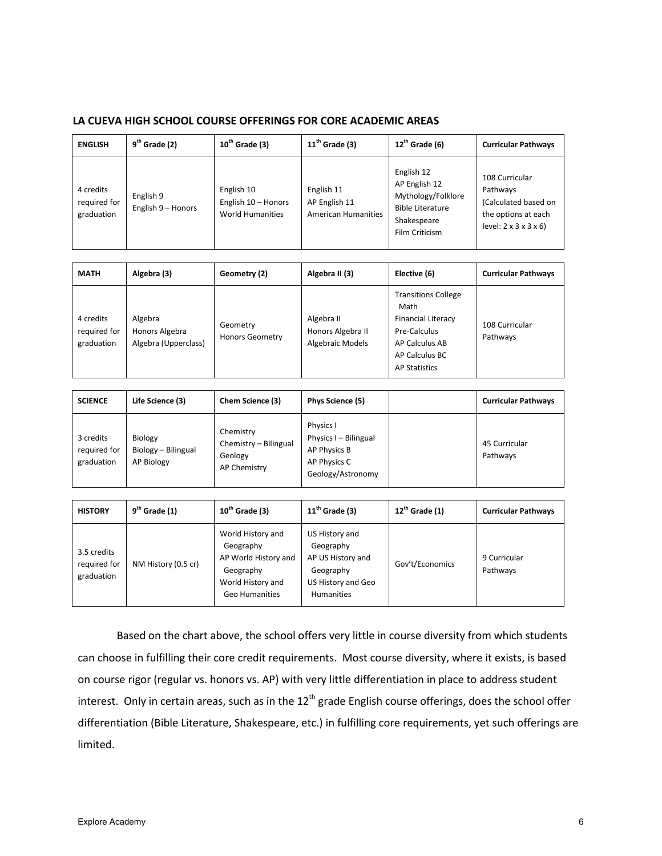## **LA CUEVA HIGH SCHOOL COURSE OFFERINGS FOR CORE ACADEMIC AREAS**

| <b>ENGLISH</b>                          | $9th$ Grade (2)                 | $10th$ Grade (3)                                             | $11th$ Grade (3)                                          | $12^{th}$ Grade (6)                                                                                           | <b>Curricular Pathways</b>                                                                                         |
|-----------------------------------------|---------------------------------|--------------------------------------------------------------|-----------------------------------------------------------|---------------------------------------------------------------------------------------------------------------|--------------------------------------------------------------------------------------------------------------------|
| 4 credits<br>required for<br>graduation | English 9<br>English 9 - Honors | English 10<br>English 10 - Honors<br><b>World Humanities</b> | English 11<br>AP English 11<br><b>American Humanities</b> | English 12<br>AP English 12<br>Mythology/Folklore<br><b>Bible Literature</b><br>Shakespeare<br>Film Criticism | 108 Curricular<br>Pathways<br>(Calculated based on<br>the options at each<br>$level: 2 \times 3 \times 3 \times 6$ |

| <b>MATH</b>                             | Algebra (3)                                       | Geometry (2)                       | Algebra II (3)                                             | Elective (6)                                                                                                                                | <b>Curricular Pathways</b> |
|-----------------------------------------|---------------------------------------------------|------------------------------------|------------------------------------------------------------|---------------------------------------------------------------------------------------------------------------------------------------------|----------------------------|
| 4 credits<br>required for<br>graduation | Algebra<br>Honors Algebra<br>Algebra (Upperclass) | Geometry<br><b>Honors Geometry</b> | Algebra II<br>Honors Algebra II<br><b>Algebraic Models</b> | <b>Transitions College</b><br>Math<br><b>Financial Literacy</b><br>Pre-Calculus<br>AP Calculus AB<br>AP Calculus BC<br><b>AP Statistics</b> | 108 Curricular<br>Pathways |

| <b>SCIENCE</b>                          | Life Science (3)                             | Chem Science (3)                                              | Phys Science (5)                                                                        | <b>Curricular Pathways</b> |
|-----------------------------------------|----------------------------------------------|---------------------------------------------------------------|-----------------------------------------------------------------------------------------|----------------------------|
| 3 credits<br>required for<br>graduation | Biology<br>Biology - Bilingual<br>AP Biology | Chemistry<br>Chemistry - Bilingual<br>Geology<br>AP Chemistry | Physics I<br>Physics I - Bilingual<br>AP Physics B<br>AP Physics C<br>Geology/Astronomy | 45 Curricular<br>Pathways  |

| <b>HISTORY</b>                            | $9th$ Grade (1)     | $10^{th}$ Grade (3)                                                                                               | $11^{\text{th}}$ Grade (3)                                                                               | $12^{\text{th}}$ Grade (1) | <b>Curricular Pathways</b> |
|-------------------------------------------|---------------------|-------------------------------------------------------------------------------------------------------------------|----------------------------------------------------------------------------------------------------------|----------------------------|----------------------------|
| 3.5 credits<br>required for<br>graduation | NM History (0.5 cr) | World History and<br>Geography<br>AP World History and<br>Geography<br>World History and<br><b>Geo Humanities</b> | US History and<br>Geography<br>AP US History and<br>Geography<br>US History and Geo<br><b>Humanities</b> | Gov't/Economics            | 9 Curricular<br>Pathways   |

Based on the chart above, the school offers very little in course diversity from which students can choose in fulfilling their core credit requirements. Most course diversity, where it exists, is based on course rigor (regular vs. honors vs. AP) with very little differentiation in place to address student interest. Only in certain areas, such as in the  $12<sup>th</sup>$  grade English course offerings, does the school offer differentiation (Bible Literature, Shakespeare, etc.) in fulfilling core requirements, yet such offerings are limited.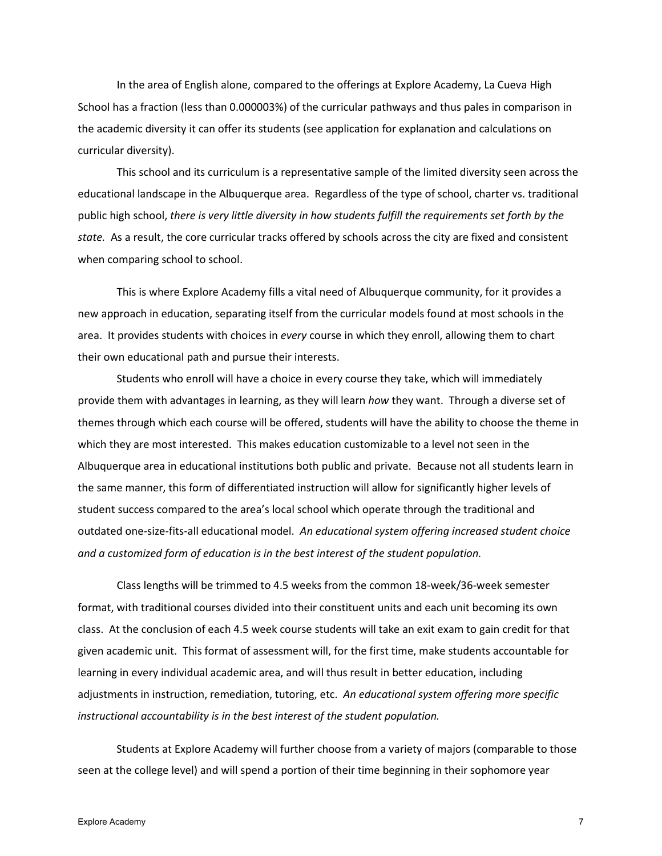In the area of English alone, compared to the offerings at Explore Academy, La Cueva High School has a fraction (less than 0.000003%) of the curricular pathways and thus pales in comparison in the academic diversity it can offer its students (see application for explanation and calculations on curricular diversity).

This school and its curriculum is a representative sample of the limited diversity seen across the educational landscape in the Albuquerque area. Regardless of the type of school, charter vs. traditional public high school, *there is very little diversity in how students fulfill the requirements set forth by the state.* As a result, the core curricular tracks offered by schools across the city are fixed and consistent when comparing school to school.

This is where Explore Academy fills a vital need of Albuquerque community, for it provides a new approach in education, separating itself from the curricular models found at most schools in the area. It provides students with choices in *every* course in which they enroll, allowing them to chart their own educational path and pursue their interests.

Students who enroll will have a choice in every course they take, which will immediately provide them with advantages in learning, as they will learn *how* they want. Through a diverse set of themes through which each course will be offered, students will have the ability to choose the theme in which they are most interested. This makes education customizable to a level not seen in the Albuquerque area in educational institutions both public and private. Because not all students learn in the same manner, this form of differentiated instruction will allow for significantly higher levels of student success compared to the area's local school which operate through the traditional and outdated one-size-fits-all educational model. *An educational system offering increased student choice and a customized form of education is in the best interest of the student population.*

Class lengths will be trimmed to 4.5 weeks from the common 18-week/36-week semester format, with traditional courses divided into their constituent units and each unit becoming its own class. At the conclusion of each 4.5 week course students will take an exit exam to gain credit for that given academic unit. This format of assessment will, for the first time, make students accountable for learning in every individual academic area, and will thus result in better education, including adjustments in instruction, remediation, tutoring, etc. *An educational system offering more specific instructional accountability is in the best interest of the student population.*

Students at Explore Academy will further choose from a variety of majors (comparable to those seen at the college level) and will spend a portion of their time beginning in their sophomore year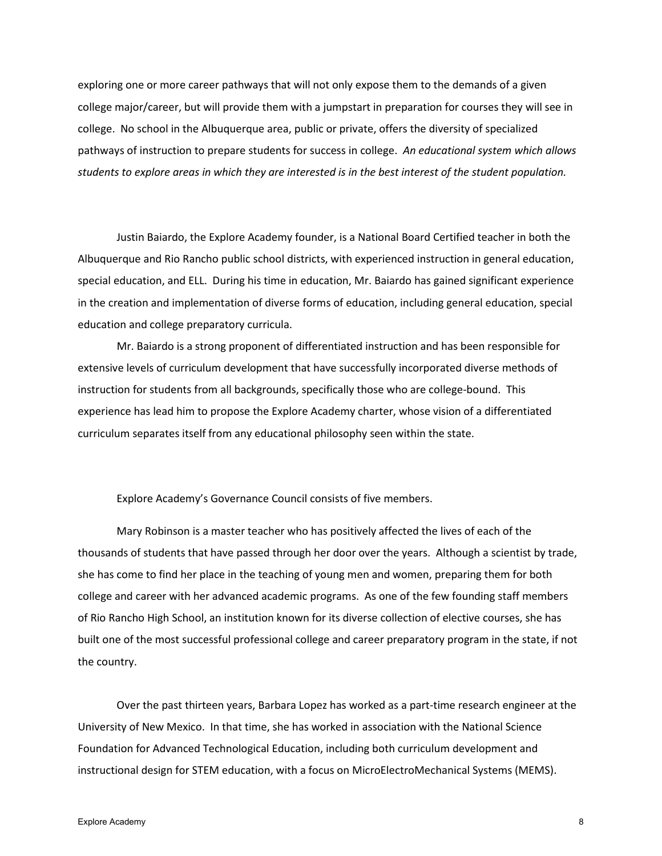exploring one or more career pathways that will not only expose them to the demands of a given college major/career, but will provide them with a jumpstart in preparation for courses they will see in college. No school in the Albuquerque area, public or private, offers the diversity of specialized pathways of instruction to prepare students for success in college. *An educational system which allows students to explore areas in which they are interested is in the best interest of the student population.*

Justin Baiardo, the Explore Academy founder, is a National Board Certified teacher in both the Albuquerque and Rio Rancho public school districts, with experienced instruction in general education, special education, and ELL. During his time in education, Mr. Baiardo has gained significant experience in the creation and implementation of diverse forms of education, including general education, special education and college preparatory curricula.

Mr. Baiardo is a strong proponent of differentiated instruction and has been responsible for extensive levels of curriculum development that have successfully incorporated diverse methods of instruction for students from all backgrounds, specifically those who are college-bound. This experience has lead him to propose the Explore Academy charter, whose vision of a differentiated curriculum separates itself from any educational philosophy seen within the state.

Explore Academy's Governance Council consists of five members.

Mary Robinson is a master teacher who has positively affected the lives of each of the thousands of students that have passed through her door over the years. Although a scientist by trade, she has come to find her place in the teaching of young men and women, preparing them for both college and career with her advanced academic programs. As one of the few founding staff members of Rio Rancho High School, an institution known for its diverse collection of elective courses, she has built one of the most successful professional college and career preparatory program in the state, if not the country.

Over the past thirteen years, Barbara Lopez has worked as a part-time research engineer at the University of New Mexico. In that time, she has worked in association with the National Science Foundation for Advanced Technological Education, including both curriculum development and instructional design for STEM education, with a focus on MicroElectroMechanical Systems (MEMS).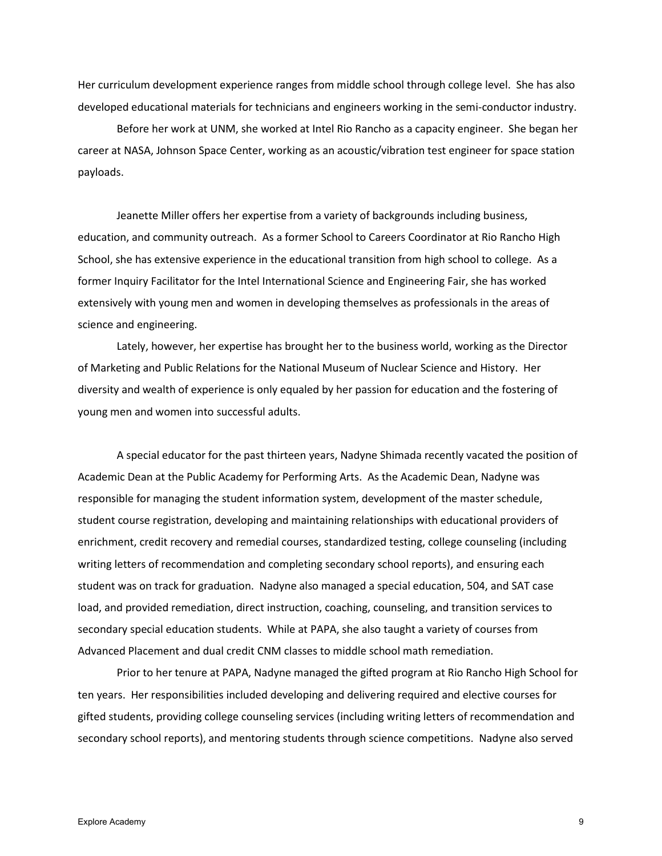Her curriculum development experience ranges from middle school through college level. She has also developed educational materials for technicians and engineers working in the semi-conductor industry.

Before her work at UNM, she worked at Intel Rio Rancho as a capacity engineer. She began her career at NASA, Johnson Space Center, working as an acoustic/vibration test engineer for space station payloads.

Jeanette Miller offers her expertise from a variety of backgrounds including business, education, and community outreach. As a former School to Careers Coordinator at Rio Rancho High School, she has extensive experience in the educational transition from high school to college. As a former Inquiry Facilitator for the Intel International Science and Engineering Fair, she has worked extensively with young men and women in developing themselves as professionals in the areas of science and engineering.

Lately, however, her expertise has brought her to the business world, working as the Director of Marketing and Public Relations for the National Museum of Nuclear Science and History. Her diversity and wealth of experience is only equaled by her passion for education and the fostering of young men and women into successful adults.

A special educator for the past thirteen years, Nadyne Shimada recently vacated the position of Academic Dean at the Public Academy for Performing Arts. As the Academic Dean, Nadyne was responsible for managing the student information system, development of the master schedule, student course registration, developing and maintaining relationships with educational providers of enrichment, credit recovery and remedial courses, standardized testing, college counseling (including writing letters of recommendation and completing secondary school reports), and ensuring each student was on track for graduation. Nadyne also managed a special education, 504, and SAT case load, and provided remediation, direct instruction, coaching, counseling, and transition services to secondary special education students. While at PAPA, she also taught a variety of courses from Advanced Placement and dual credit CNM classes to middle school math remediation.

Prior to her tenure at PAPA, Nadyne managed the gifted program at Rio Rancho High School for ten years. Her responsibilities included developing and delivering required and elective courses for gifted students, providing college counseling services (including writing letters of recommendation and secondary school reports), and mentoring students through science competitions. Nadyne also served